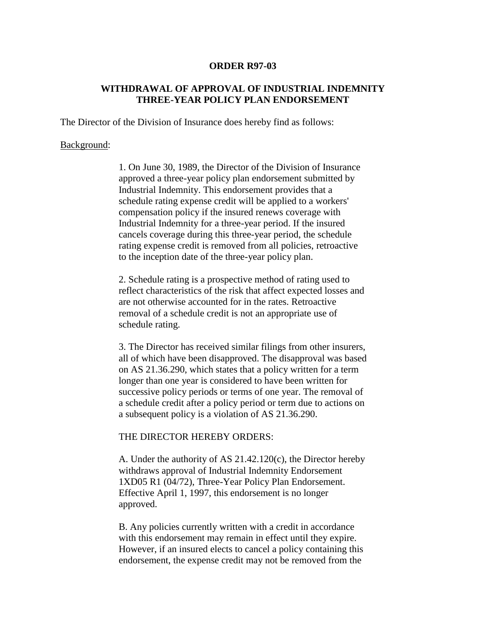## **ORDER R97-03**

## **WITHDRAWAL OF APPROVAL OF INDUSTRIAL INDEMNITY THREE-YEAR POLICY PLAN ENDORSEMENT**

The Director of the Division of Insurance does hereby find as follows:

## Background:

1. On June 30, 1989, the Director of the Division of Insurance approved a three-year policy plan endorsement submitted by Industrial Indemnity. This endorsement provides that a schedule rating expense credit will be applied to a workers' compensation policy if the insured renews coverage with Industrial Indemnity for a three-year period. If the insured cancels coverage during this three-year period, the schedule rating expense credit is removed from all policies, retroactive to the inception date of the three-year policy plan.

2. Schedule rating is a prospective method of rating used to reflect characteristics of the risk that affect expected losses and are not otherwise accounted for in the rates. Retroactive removal of a schedule credit is not an appropriate use of schedule rating.

3. The Director has received similar filings from other insurers, all of which have been disapproved. The disapproval was based on AS 21.36.290, which states that a policy written for a term longer than one year is considered to have been written for successive policy periods or terms of one year. The removal of a schedule credit after a policy period or term due to actions on a subsequent policy is a violation of AS 21.36.290.

## THE DIRECTOR HEREBY ORDERS:

A. Under the authority of AS 21.42.120(c), the Director hereby withdraws approval of Industrial Indemnity Endorsement 1XD05 R1 (04/72), Three-Year Policy Plan Endorsement. Effective April 1, 1997, this endorsement is no longer approved.

B. Any policies currently written with a credit in accordance with this endorsement may remain in effect until they expire. However, if an insured elects to cancel a policy containing this endorsement, the expense credit may not be removed from the